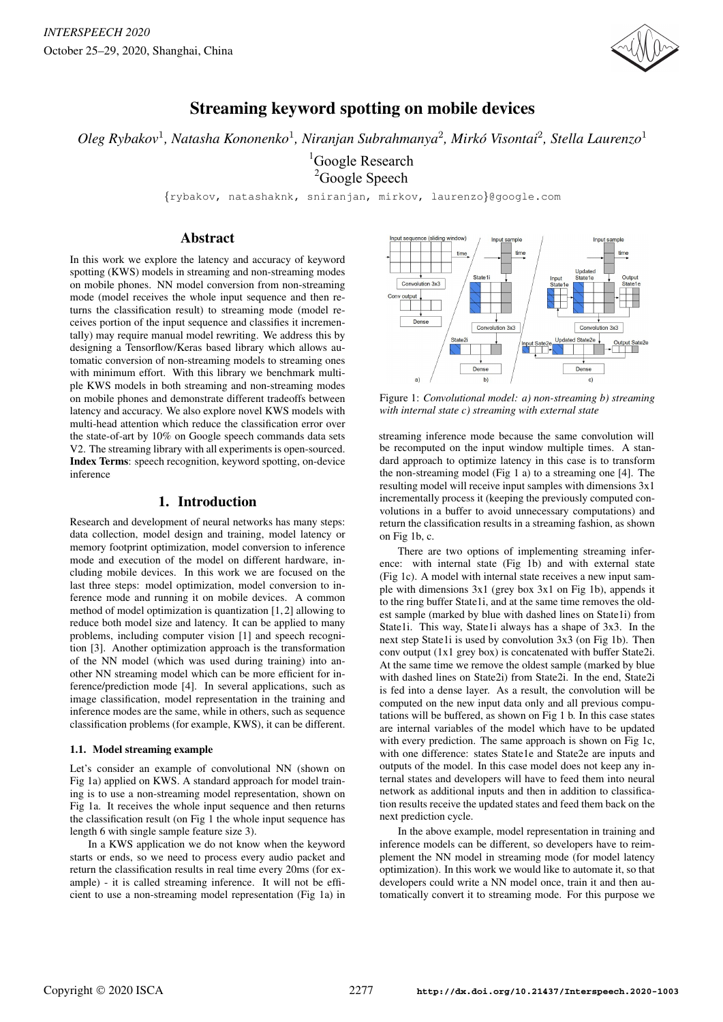

# Streaming keyword spotting on mobile devices

*Oleg Rybakov*<sup>1</sup> *, Natasha Kononenko*<sup>1</sup> *, Niranjan Subrahmanya*<sup>2</sup> *, Mirko Visontai ´* 2 *, Stella Laurenzo*<sup>1</sup>

<sup>1</sup>Google Research <sup>2</sup>Google Speech

{rybakov, natashaknk, sniranjan, mirkov, laurenzo}@google.com

# Abstract

In this work we explore the latency and accuracy of keyword spotting (KWS) models in streaming and non-streaming modes on mobile phones. NN model conversion from non-streaming mode (model receives the whole input sequence and then returns the classification result) to streaming mode (model receives portion of the input sequence and classifies it incrementally) may require manual model rewriting. We address this by designing a Tensorflow/Keras based library which allows automatic conversion of non-streaming models to streaming ones with minimum effort. With this library we benchmark multiple KWS models in both streaming and non-streaming modes on mobile phones and demonstrate different tradeoffs between latency and accuracy. We also explore novel KWS models with multi-head attention which reduce the classification error over the state-of-art by 10% on Google speech commands data sets V2. The streaming library with all experiments is open-sourced. Index Terms: speech recognition, keyword spotting, on-device inference

# 1. Introduction

Research and development of neural networks has many steps: data collection, model design and training, model latency or memory footprint optimization, model conversion to inference mode and execution of the model on different hardware, including mobile devices. In this work we are focused on the last three steps: model optimization, model conversion to inference mode and running it on mobile devices. A common method of model optimization is quantization [1, 2] allowing to reduce both model size and latency. It can be applied to many problems, including computer vision [1] and speech recognition [3]. Another optimization approach is the transformation of the NN model (which was used during training) into another NN streaming model which can be more efficient for inference/prediction mode [4]. In several applications, such as image classification, model representation in the training and inference modes are the same, while in others, such as sequence classification problems (for example, KWS), it can be different.

#### 1.1. Model streaming example

Let's consider an example of convolutional NN (shown on Fig 1a) applied on KWS. A standard approach for model training is to use a non-streaming model representation, shown on Fig 1a. It receives the whole input sequence and then returns the classification result (on Fig 1 the whole input sequence has length 6 with single sample feature size 3).

In a KWS application we do not know when the keyword starts or ends, so we need to process every audio packet and return the classification results in real time every 20ms (for example) - it is called streaming inference. It will not be efficient to use a non-streaming model representation (Fig 1a) in



Figure 1: *Convolutional model: a) non-streaming b) streaming with internal state c) streaming with external state*

streaming inference mode because the same convolution will be recomputed on the input window multiple times. A standard approach to optimize latency in this case is to transform the non-streaming model (Fig 1 a) to a streaming one [4]. The resulting model will receive input samples with dimensions 3x1 incrementally process it (keeping the previously computed convolutions in a buffer to avoid unnecessary computations) and return the classification results in a streaming fashion, as shown on Fig 1b, c.

There are two options of implementing streaming inference: with internal state (Fig 1b) and with external state (Fig 1c). A model with internal state receives a new input sample with dimensions 3x1 (grey box 3x1 on Fig 1b), appends it to the ring buffer State1i, and at the same time removes the oldest sample (marked by blue with dashed lines on State1i) from State1i. This way, State1i always has a shape of 3x3. In the next step State1i is used by convolution 3x3 (on Fig 1b). Then conv output (1x1 grey box) is concatenated with buffer State2i. At the same time we remove the oldest sample (marked by blue with dashed lines on State2i) from State2i. In the end, State2i is fed into a dense layer. As a result, the convolution will be computed on the new input data only and all previous computations will be buffered, as shown on Fig 1 b. In this case states are internal variables of the model which have to be updated with every prediction. The same approach is shown on Fig 1c, with one difference: states State1e and State2e are inputs and outputs of the model. In this case model does not keep any internal states and developers will have to feed them into neural network as additional inputs and then in addition to classification results receive the updated states and feed them back on the next prediction cycle.

In the above example, model representation in training and inference models can be different, so developers have to reimplement the NN model in streaming mode (for model latency optimization). In this work we would like to automate it, so that developers could write a NN model once, train it and then automatically convert it to streaming mode. For this purpose we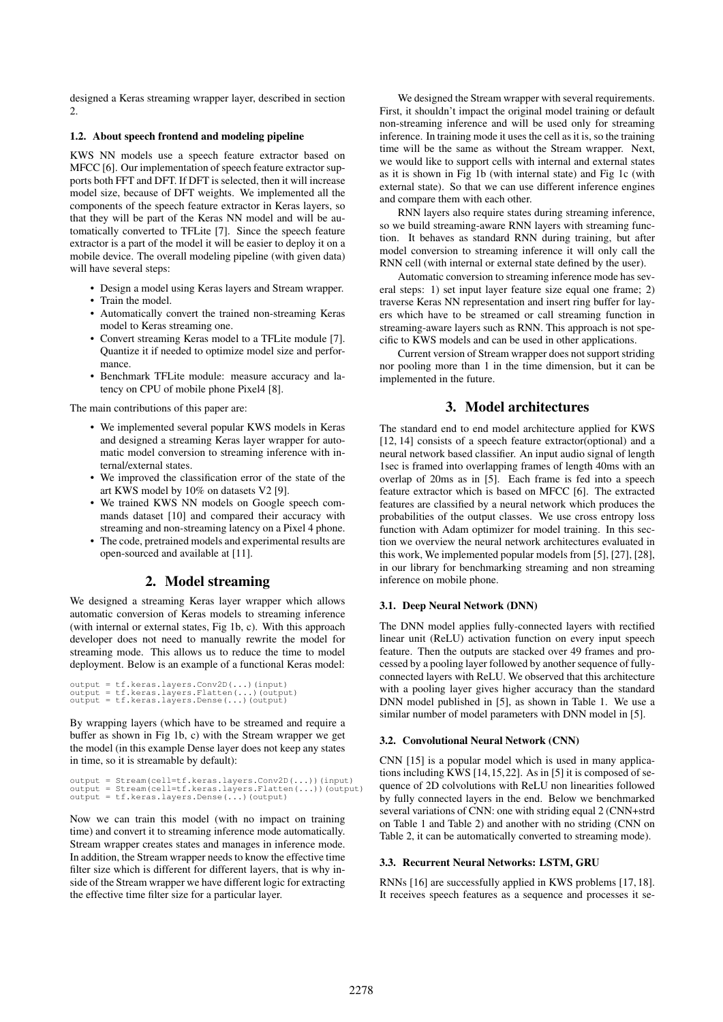designed a Keras streaming wrapper layer, described in section 2.

#### 1.2. About speech frontend and modeling pipeline

KWS NN models use a speech feature extractor based on MFCC [6]. Our implementation of speech feature extractor supports both FFT and DFT. If DFT is selected, then it will increase model size, because of DFT weights. We implemented all the components of the speech feature extractor in Keras layers, so that they will be part of the Keras NN model and will be automatically converted to TFLite [7]. Since the speech feature extractor is a part of the model it will be easier to deploy it on a mobile device. The overall modeling pipeline (with given data) will have several steps:

- Design a model using Keras layers and Stream wrapper.
- Train the model.
- Automatically convert the trained non-streaming Keras model to Keras streaming one.
- Convert streaming Keras model to a TFLite module [7]. Quantize it if needed to optimize model size and performance.
- Benchmark TFLite module: measure accuracy and latency on CPU of mobile phone Pixel4 [8].

The main contributions of this paper are:

- We implemented several popular KWS models in Keras and designed a streaming Keras layer wrapper for automatic model conversion to streaming inference with internal/external states.
- We improved the classification error of the state of the art KWS model by 10% on datasets V2 [9].
- We trained KWS NN models on Google speech commands dataset [10] and compared their accuracy with streaming and non-streaming latency on a Pixel 4 phone.
- The code, pretrained models and experimental results are open-sourced and available at [11].

# 2. Model streaming

We designed a streaming Keras layer wrapper which allows automatic conversion of Keras models to streaming inference (with internal or external states, Fig 1b, c). With this approach developer does not need to manually rewrite the model for streaming mode. This allows us to reduce the time to model deployment. Below is an example of a functional Keras model:

```
output = tf.keras.layers.Conv2D(...)(input)
output = tf.keras.layers.Flatten(...)(output)
output = tf.keras.layers.Dense(...)(output)
```
By wrapping layers (which have to be streamed and require a buffer as shown in Fig 1b, c) with the Stream wrapper we get the model (in this example Dense layer does not keep any states in time, so it is streamable by default):

```
output = Stream(cell=tf.keras.layers.Conv2D(...))(input)
output = Stream(cell=tf.keras.layers.Flatten(...))(output)
output = tf.keras.layers.Dense(...)(output)
```
Now we can train this model (with no impact on training time) and convert it to streaming inference mode automatically. Stream wrapper creates states and manages in inference mode. In addition, the Stream wrapper needs to know the effective time filter size which is different for different layers, that is why inside of the Stream wrapper we have different logic for extracting the effective time filter size for a particular layer.

We designed the Stream wrapper with several requirements. First, it shouldn't impact the original model training or default non-streaming inference and will be used only for streaming inference. In training mode it uses the cell as it is, so the training time will be the same as without the Stream wrapper. Next, we would like to support cells with internal and external states as it is shown in Fig 1b (with internal state) and Fig 1c (with external state). So that we can use different inference engines and compare them with each other.

RNN layers also require states during streaming inference, so we build streaming-aware RNN layers with streaming function. It behaves as standard RNN during training, but after model conversion to streaming inference it will only call the RNN cell (with internal or external state defined by the user).

Automatic conversion to streaming inference mode has several steps: 1) set input layer feature size equal one frame; 2) traverse Keras NN representation and insert ring buffer for layers which have to be streamed or call streaming function in streaming-aware layers such as RNN. This approach is not specific to KWS models and can be used in other applications.

Current version of Stream wrapper does not support striding nor pooling more than 1 in the time dimension, but it can be implemented in the future.

# 3. Model architectures

The standard end to end model architecture applied for KWS [12, 14] consists of a speech feature extractor(optional) and a neural network based classifier. An input audio signal of length 1sec is framed into overlapping frames of length 40ms with an overlap of 20ms as in [5]. Each frame is fed into a speech feature extractor which is based on MFCC [6]. The extracted features are classified by a neural network which produces the probabilities of the output classes. We use cross entropy loss function with Adam optimizer for model training. In this section we overview the neural network architectures evaluated in this work, We implemented popular models from [5], [27], [28], in our library for benchmarking streaming and non streaming inference on mobile phone.

## 3.1. Deep Neural Network (DNN)

The DNN model applies fully-connected layers with rectified linear unit (ReLU) activation function on every input speech feature. Then the outputs are stacked over 49 frames and processed by a pooling layer followed by another sequence of fullyconnected layers with ReLU. We observed that this architecture with a pooling layer gives higher accuracy than the standard DNN model published in [5], as shown in Table 1. We use a similar number of model parameters with DNN model in [5].

## 3.2. Convolutional Neural Network (CNN)

CNN [15] is a popular model which is used in many applications including KWS [14,15,22]. As in [5] it is composed of sequence of 2D colvolutions with ReLU non linearities followed by fully connected layers in the end. Below we benchmarked several variations of CNN: one with striding equal 2 (CNN+strd on Table 1 and Table 2) and another with no striding (CNN on Table 2, it can be automatically converted to streaming mode).

#### 3.3. Recurrent Neural Networks: LSTM, GRU

RNNs [16] are successfully applied in KWS problems [17, 18]. It receives speech features as a sequence and processes it se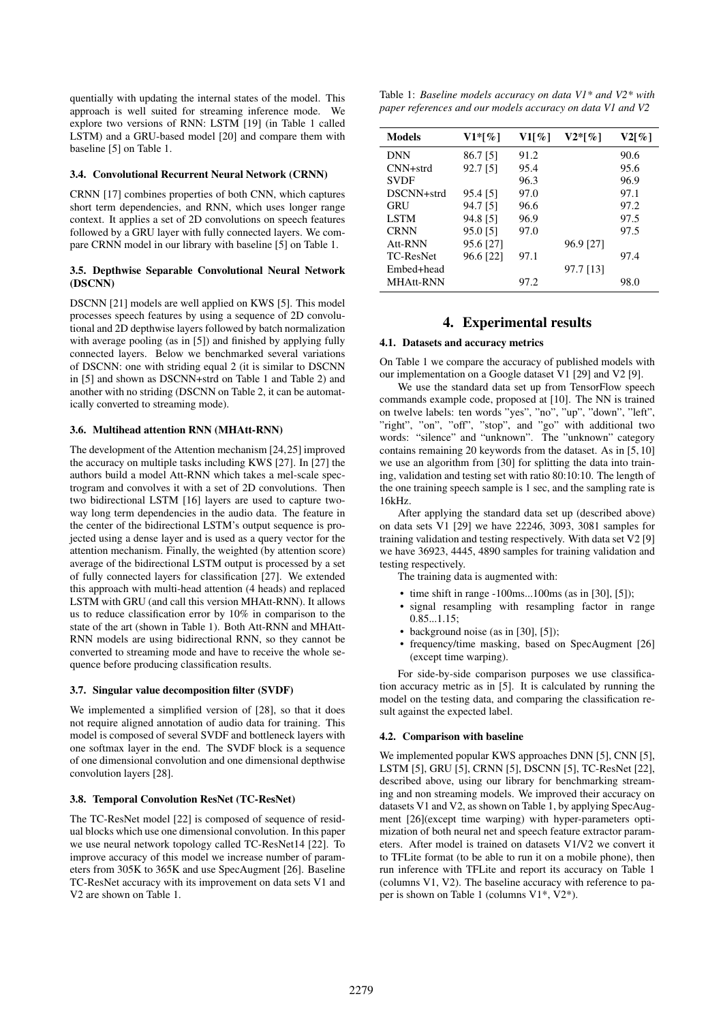quentially with updating the internal states of the model. This approach is well suited for streaming inference mode. We explore two versions of RNN: LSTM [19] (in Table 1 called LSTM) and a GRU-based model [20] and compare them with baseline [5] on Table 1.

#### 3.4. Convolutional Recurrent Neural Network (CRNN)

CRNN [17] combines properties of both CNN, which captures short term dependencies, and RNN, which uses longer range context. It applies a set of 2D convolutions on speech features followed by a GRU layer with fully connected layers. We compare CRNN model in our library with baseline [5] on Table 1.

### 3.5. Depthwise Separable Convolutional Neural Network (DSCNN)

DSCNN [21] models are well applied on KWS [5]. This model processes speech features by using a sequence of 2D convolutional and 2D depthwise layers followed by batch normalization with average pooling (as in [5]) and finished by applying fully connected layers. Below we benchmarked several variations of DSCNN: one with striding equal 2 (it is similar to DSCNN in [5] and shown as DSCNN+strd on Table 1 and Table 2) and another with no striding (DSCNN on Table 2, it can be automatically converted to streaming mode).

## 3.6. Multihead attention RNN (MHAtt-RNN)

The development of the Attention mechanism [24,25] improved the accuracy on multiple tasks including KWS [27]. In [27] the authors build a model Att-RNN which takes a mel-scale spectrogram and convolves it with a set of 2D convolutions. Then two bidirectional LSTM [16] layers are used to capture twoway long term dependencies in the audio data. The feature in the center of the bidirectional LSTM's output sequence is projected using a dense layer and is used as a query vector for the attention mechanism. Finally, the weighted (by attention score) average of the bidirectional LSTM output is processed by a set of fully connected layers for classification [27]. We extended this approach with multi-head attention (4 heads) and replaced LSTM with GRU (and call this version MHAtt-RNN). It allows us to reduce classification error by 10% in comparison to the state of the art (shown in Table 1). Both Att-RNN and MHAtt-RNN models are using bidirectional RNN, so they cannot be converted to streaming mode and have to receive the whole sequence before producing classification results.

#### 3.7. Singular value decomposition filter (SVDF)

We implemented a simplified version of [28], so that it does not require aligned annotation of audio data for training. This model is composed of several SVDF and bottleneck layers with one softmax layer in the end. The SVDF block is a sequence of one dimensional convolution and one dimensional depthwise convolution layers [28].

#### 3.8. Temporal Convolution ResNet (TC-ResNet)

The TC-ResNet model [22] is composed of sequence of residual blocks which use one dimensional convolution. In this paper we use neural network topology called TC-ResNet14 [22]. To improve accuracy of this model we increase number of parameters from 305K to 365K and use SpecAugment [26]. Baseline TC-ResNet accuracy with its improvement on data sets V1 and V2 are shown on Table 1.

Table 1: *Baseline models accuracy on data V1\* and V2\* with paper references and our models accuracy on data V1 and V2*

| <b>Models</b>    | $V1*[\%]$ | $V1\lceil \% \rceil$ | $V2*[\%]$ | $V2\lceil \% \rceil$ |
|------------------|-----------|----------------------|-----------|----------------------|
| <b>DNN</b>       | 86.7 [5]  | 91.2                 |           | 90.6                 |
| $CNN + strd$     | 92.7 [5]  | 95.4                 |           | 95.6                 |
| <b>SVDF</b>      |           | 96.3                 |           | 96.9                 |
| DSCNN+strd       | 95.4 [5]  | 97.0                 |           | 97.1                 |
| <b>GRU</b>       | 94.7 [5]  | 96.6                 |           | 97.2                 |
| LSTM             | 94.8 [5]  | 96.9                 |           | 97.5                 |
| <b>CRNN</b>      | 95.0 [5]  | 97.0                 |           | 97.5                 |
| Att-RNN          | 95.6 [27] |                      | 96.9 [27] |                      |
| <b>TC-ResNet</b> | 96.6 [22] | 97.1                 |           | 97.4                 |
| Embed+head       |           |                      | 97.7 [13] |                      |
| <b>MHAtt-RNN</b> |           | 97.2                 |           | 98.0                 |

# 4. Experimental results

#### 4.1. Datasets and accuracy metrics

On Table 1 we compare the accuracy of published models with our implementation on a Google dataset V1 [29] and V2 [9].

We use the standard data set up from TensorFlow speech commands example code, proposed at [10]. The NN is trained on twelve labels: ten words "yes", "no", "up", "down", "left", "right", "on", "off", "stop", and "go" with additional two words: "silence" and "unknown". The "unknown" category contains remaining 20 keywords from the dataset. As in [5, 10] we use an algorithm from [30] for splitting the data into training, validation and testing set with ratio 80:10:10. The length of the one training speech sample is 1 sec, and the sampling rate is 16kHz.

After applying the standard data set up (described above) on data sets V1 [29] we have 22246, 3093, 3081 samples for training validation and testing respectively. With data set V2 [9] we have 36923, 4445, 4890 samples for training validation and testing respectively.

The training data is augmented with:

- time shift in range  $-100$ ms...100ms (as in [30], [5]);
- signal resampling with resampling factor in range 0.85...1.15;
- background noise (as in [30], [5]);
- frequency/time masking, based on SpecAugment [26] (except time warping).

For side-by-side comparison purposes we use classification accuracy metric as in [5]. It is calculated by running the model on the testing data, and comparing the classification result against the expected label.

## 4.2. Comparison with baseline

We implemented popular KWS approaches DNN [5], CNN [5], LSTM [5], GRU [5], CRNN [5], DSCNN [5], TC-ResNet [22], described above, using our library for benchmarking streaming and non streaming models. We improved their accuracy on datasets V1 and V2, as shown on Table 1, by applying SpecAugment [26](except time warping) with hyper-parameters optimization of both neural net and speech feature extractor parameters. After model is trained on datasets V1/V2 we convert it to TFLite format (to be able to run it on a mobile phone), then run inference with TFLite and report its accuracy on Table 1 (columns V1, V2). The baseline accuracy with reference to paper is shown on Table 1 (columns V1\*, V2\*).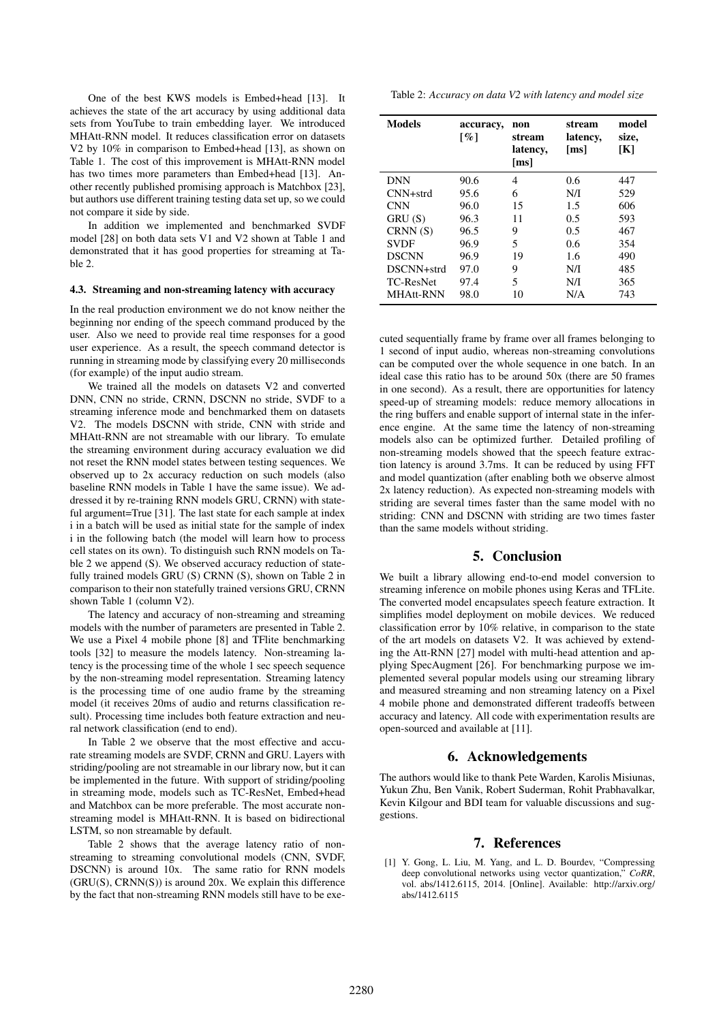One of the best KWS models is Embed+head [13]. It achieves the state of the art accuracy by using additional data sets from YouTube to train embedding layer. We introduced MHAtt-RNN model. It reduces classification error on datasets V2 by 10% in comparison to Embed+head [13], as shown on Table 1. The cost of this improvement is MHAtt-RNN model has two times more parameters than Embed+head [13]. Another recently published promising approach is Matchbox [23], but authors use different training testing data set up, so we could not compare it side by side.

In addition we implemented and benchmarked SVDF model [28] on both data sets V1 and V2 shown at Table 1 and demonstrated that it has good properties for streaming at Table 2.

#### 4.3. Streaming and non-streaming latency with accuracy

In the real production environment we do not know neither the beginning nor ending of the speech command produced by the user. Also we need to provide real time responses for a good user experience. As a result, the speech command detector is running in streaming mode by classifying every 20 milliseconds (for example) of the input audio stream.

We trained all the models on datasets V2 and converted DNN, CNN no stride, CRNN, DSCNN no stride, SVDF to a streaming inference mode and benchmarked them on datasets V2. The models DSCNN with stride, CNN with stride and MHAtt-RNN are not streamable with our library. To emulate the streaming environment during accuracy evaluation we did not reset the RNN model states between testing sequences. We observed up to 2x accuracy reduction on such models (also baseline RNN models in Table 1 have the same issue). We addressed it by re-training RNN models GRU, CRNN) with stateful argument=True [31]. The last state for each sample at index i in a batch will be used as initial state for the sample of index i in the following batch (the model will learn how to process cell states on its own). To distinguish such RNN models on Table 2 we append (S). We observed accuracy reduction of statefully trained models GRU (S) CRNN (S), shown on Table 2 in comparison to their non statefully trained versions GRU, CRNN shown Table 1 (column V2).

The latency and accuracy of non-streaming and streaming models with the number of parameters are presented in Table 2. We use a Pixel 4 mobile phone [8] and TFlite benchmarking tools [32] to measure the models latency. Non-streaming latency is the processing time of the whole 1 sec speech sequence by the non-streaming model representation. Streaming latency is the processing time of one audio frame by the streaming model (it receives 20ms of audio and returns classification result). Processing time includes both feature extraction and neural network classification (end to end).

In Table 2 we observe that the most effective and accurate streaming models are SVDF, CRNN and GRU. Layers with striding/pooling are not streamable in our library now, but it can be implemented in the future. With support of striding/pooling in streaming mode, models such as TC-ResNet, Embed+head and Matchbox can be more preferable. The most accurate nonstreaming model is MHAtt-RNN. It is based on bidirectional LSTM, so non streamable by default.

Table 2 shows that the average latency ratio of nonstreaming to streaming convolutional models (CNN, SVDF, DSCNN) is around 10x. The same ratio for RNN models  $(GRU(S), CRNN(S))$  is around 20x. We explain this difference by the fact that non-streaming RNN models still have to be exeTable 2: *Accuracy on data V2 with latency and model size*

| <b>Models</b>    | accuracy,<br>$\lceil \% \rceil$ | non<br>stream<br>latency,<br>[ms] | stream<br>latency,<br>$\lceil ms \rceil$ | model<br>size,<br>[K] |
|------------------|---------------------------------|-----------------------------------|------------------------------------------|-----------------------|
| <b>DNN</b>       | 90.6                            | 4                                 | 0.6                                      | 447                   |
| $CNN+strd$       | 95.6                            | 6                                 | N/I                                      | 529                   |
| <b>CNN</b>       | 96.0                            | 15                                | 1.5                                      | 606                   |
| GRU (S)          | 96.3                            | 11                                | 0.5                                      | 593                   |
| CRNN(S)          | 96.5                            | 9                                 | 0.5                                      | 467                   |
| <b>SVDF</b>      | 96.9                            | 5                                 | 0.6                                      | 354                   |
| <b>DSCNN</b>     | 96.9                            | 19                                | 1.6                                      | 490                   |
| DSCNN+strd       | 97.0                            | 9                                 | N/I                                      | 485                   |
| TC-ResNet        | 97.4                            | 5                                 | N/I                                      | 365                   |
| <b>MHAtt-RNN</b> | 98.0                            | 10                                | N/A                                      | 743                   |

cuted sequentially frame by frame over all frames belonging to 1 second of input audio, whereas non-streaming convolutions can be computed over the whole sequence in one batch. In an ideal case this ratio has to be around 50x (there are 50 frames in one second). As a result, there are opportunities for latency speed-up of streaming models: reduce memory allocations in the ring buffers and enable support of internal state in the inference engine. At the same time the latency of non-streaming models also can be optimized further. Detailed profiling of non-streaming models showed that the speech feature extraction latency is around 3.7ms. It can be reduced by using FFT and model quantization (after enabling both we observe almost 2x latency reduction). As expected non-streaming models with striding are several times faster than the same model with no striding: CNN and DSCNN with striding are two times faster than the same models without striding.

# 5. Conclusion

We built a library allowing end-to-end model conversion to streaming inference on mobile phones using Keras and TFLite. The converted model encapsulates speech feature extraction. It simplifies model deployment on mobile devices. We reduced classification error by 10% relative, in comparison to the state of the art models on datasets V2. It was achieved by extending the Att-RNN [27] model with multi-head attention and applying SpecAugment [26]. For benchmarking purpose we implemented several popular models using our streaming library and measured streaming and non streaming latency on a Pixel 4 mobile phone and demonstrated different tradeoffs between accuracy and latency. All code with experimentation results are open-sourced and available at [11].

# 6. Acknowledgements

The authors would like to thank Pete Warden, Karolis Misiunas, Yukun Zhu, Ben Vanik, Robert Suderman, Rohit Prabhavalkar, Kevin Kilgour and BDI team for valuable discussions and suggestions.

# 7. References

[1] Y. Gong, L. Liu, M. Yang, and L. D. Bourdev, "Compressing deep convolutional networks using vector quantization," *CoRR*, vol. abs/1412.6115, 2014. [Online]. Available: http://arxiv.org/ abs/1412.6115